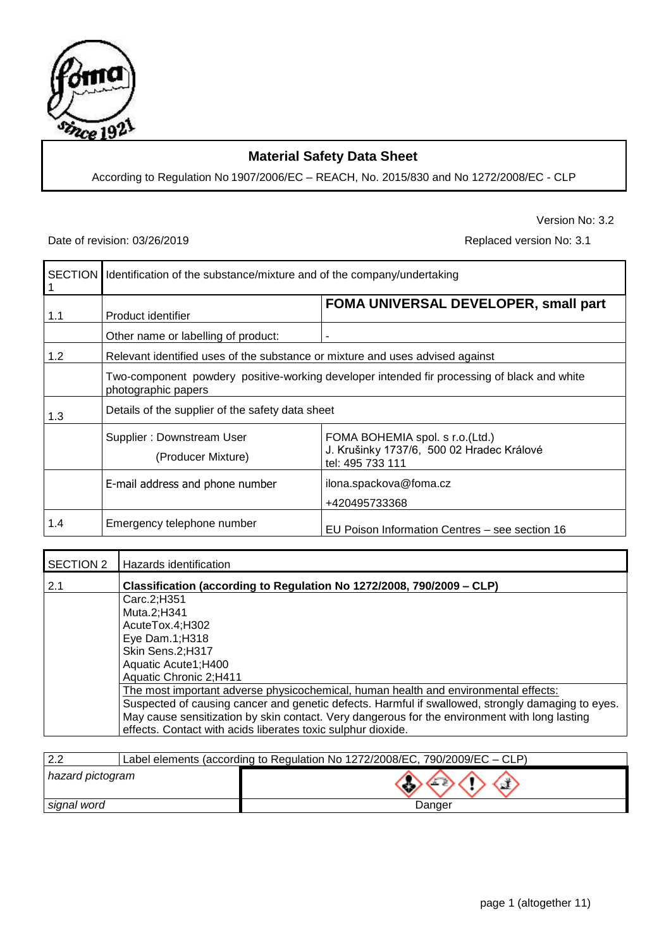

# **Material Safety Data Sheet**

According to Regulation No 1907/2006/EC – REACH, No. 2015/830 and No 1272/2008/EC - CLP

## Date of revision: 03/26/2019 <br>
Replaced version No: 3.1

Version No: 3.2

|     | SECTION   Identification of the substance/mixture and of the company/undertaking |                                                                                                  |
|-----|----------------------------------------------------------------------------------|--------------------------------------------------------------------------------------------------|
| 1.1 | Product identifier                                                               | FOMA UNIVERSAL DEVELOPER, small part                                                             |
|     | Other name or labelling of product:                                              |                                                                                                  |
| 1.2 | Relevant identified uses of the substance or mixture and uses advised against    |                                                                                                  |
|     | photographic papers                                                              | Two-component powdery positive-working developer intended fir processing of black and white      |
| 1.3 | Details of the supplier of the safety data sheet                                 |                                                                                                  |
|     | Supplier: Downstream User<br>(Producer Mixture)                                  | FOMA BOHEMIA spol. s r.o.(Ltd.)<br>J. Krušinky 1737/6, 500 02 Hradec Králové<br>tel: 495 733 111 |
|     | E-mail address and phone number                                                  | ilona.spackova@foma.cz<br>+420495733368                                                          |
| 1.4 | Emergency telephone number                                                       | EU Poison Information Centres - see section 16                                                   |

| SECTION 2 | Hazards identification                                                                            |
|-----------|---------------------------------------------------------------------------------------------------|
| 2.1       | Classification (according to Regulation No 1272/2008, 790/2009 - CLP)                             |
|           | Carc.2;H351                                                                                       |
|           | Muta.2;H341                                                                                       |
|           | AcuteTox.4;H302                                                                                   |
|           | Eye Dam.1;H318                                                                                    |
|           | Skin Sens.2;H317                                                                                  |
|           | Aquatic Acute1;H400                                                                               |
|           | Aquatic Chronic 2;H411                                                                            |
|           | The most important adverse physicochemical, human health and environmental effects:               |
|           | Suspected of causing cancer and genetic defects. Harmful if swallowed, strongly damaging to eyes. |
|           | May cause sensitization by skin contact. Very dangerous for the environment with long lasting     |
|           | effects. Contact with acids liberates toxic sulphur dioxide.                                      |

| $\Omega$         | Label elements (according to Regulation No 1272/2008/EC, 790/2009/EC - CLP) |
|------------------|-----------------------------------------------------------------------------|
| hazard pictogram |                                                                             |
| signal word      | Danger                                                                      |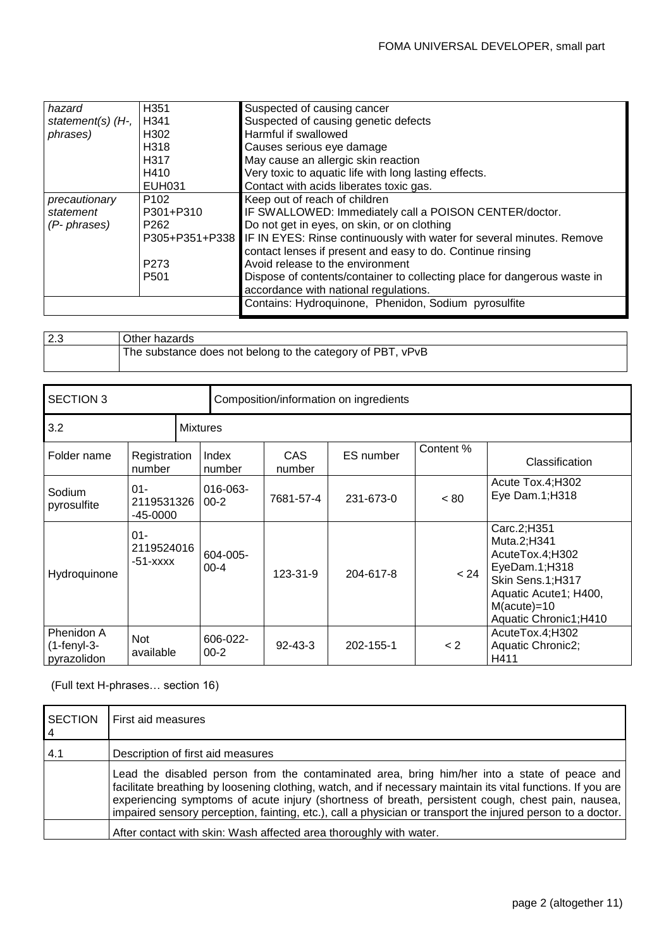| hazard              | H351             | Suspected of causing cancer                                                          |
|---------------------|------------------|--------------------------------------------------------------------------------------|
| statement(s) $(H7)$ | H341             | Suspected of causing genetic defects                                                 |
| phrases)            | H302             | Harmful if swallowed                                                                 |
|                     | H318             | Causes serious eye damage                                                            |
|                     | H317             | May cause an allergic skin reaction                                                  |
|                     | H410             | Very toxic to aquatic life with long lasting effects.                                |
|                     | <b>EUH031</b>    | Contact with acids liberates toxic gas.                                              |
| precautionary       | P <sub>102</sub> | Keep out of reach of children                                                        |
| statement           | P301+P310        | IF SWALLOWED: Immediately call a POISON CENTER/doctor.                               |
| (P- phrases)        | P <sub>262</sub> | Do not get in eyes, on skin, or on clothing                                          |
|                     |                  | P305+P351+P338 IF IN EYES: Rinse continuously with water for several minutes. Remove |
|                     |                  | contact lenses if present and easy to do. Continue rinsing                           |
|                     | P <sub>273</sub> | Avoid release to the environment                                                     |
|                     | P <sub>501</sub> | Dispose of contents/container to collecting place for dangerous waste in             |
|                     |                  | accordance with national regulations.                                                |
|                     |                  | Contains: Hydroquinone, Phenidon, Sodium pyrosulfite                                 |
|                     |                  |                                                                                      |

| 2.3 | Other hazards                                              |
|-----|------------------------------------------------------------|
|     | The substance does not belong to the category of PBT, vPvB |

| <b>SECTION 3</b>                           |                                      |                 |                      |                      | Composition/information on ingredients |           |                                                                                                                                                         |
|--------------------------------------------|--------------------------------------|-----------------|----------------------|----------------------|----------------------------------------|-----------|---------------------------------------------------------------------------------------------------------------------------------------------------------|
| 3.2                                        |                                      | <b>Mixtures</b> |                      |                      |                                        |           |                                                                                                                                                         |
| Folder name                                | Registration<br>number               |                 | Index<br>number      | <b>CAS</b><br>number | ES number                              | Content % | Classification                                                                                                                                          |
| Sodium<br>pyrosulfite                      | $01 -$<br>2119531326<br>$-45 - 0000$ |                 | 016-063-<br>$00 - 2$ | 7681-57-4            | 231-673-0                              | ~< 80     | Acute Tox.4;H302<br>Eye Dam.1;H318                                                                                                                      |
| Hydroquinone                               | $01 -$<br>2119524016<br>$-51 - XXXX$ |                 | 604-005-<br>$00 - 4$ | 123-31-9             | 204-617-8                              | < 24      | Carc.2;H351<br>Muta.2;H341<br>AcuteTox.4;H302<br>EyeDam.1;H318<br>Skin Sens.1;H317<br>Aquatic Acute1; H400,<br>$M(acute) = 10$<br>Aquatic Chronic1;H410 |
| Phenidon A<br>$(1-fenyI-3-$<br>pyrazolidon | <b>Not</b><br>available              |                 | 606-022-<br>$00 - 2$ | $92 - 43 - 3$        | 202-155-1                              | < 2       | AcuteTox.4;H302<br>Aquatic Chronic2;<br>H411                                                                                                            |

(Full text H-phrases… section 16)

| <b>SECTION</b><br>$\overline{4}$ | First aid measures                                                                                                                                                                                                                                                                                                                                                                                                               |
|----------------------------------|----------------------------------------------------------------------------------------------------------------------------------------------------------------------------------------------------------------------------------------------------------------------------------------------------------------------------------------------------------------------------------------------------------------------------------|
| 4.1                              | Description of first aid measures                                                                                                                                                                                                                                                                                                                                                                                                |
|                                  | Lead the disabled person from the contaminated area, bring him/her into a state of peace and<br>facilitate breathing by loosening clothing, watch, and if necessary maintain its vital functions. If you are<br>experiencing symptoms of acute injury (shortness of breath, persistent cough, chest pain, nausea,<br>impaired sensory perception, fainting, etc.), call a physician or transport the injured person to a doctor. |
|                                  | After contact with skin: Wash affected area thoroughly with water.                                                                                                                                                                                                                                                                                                                                                               |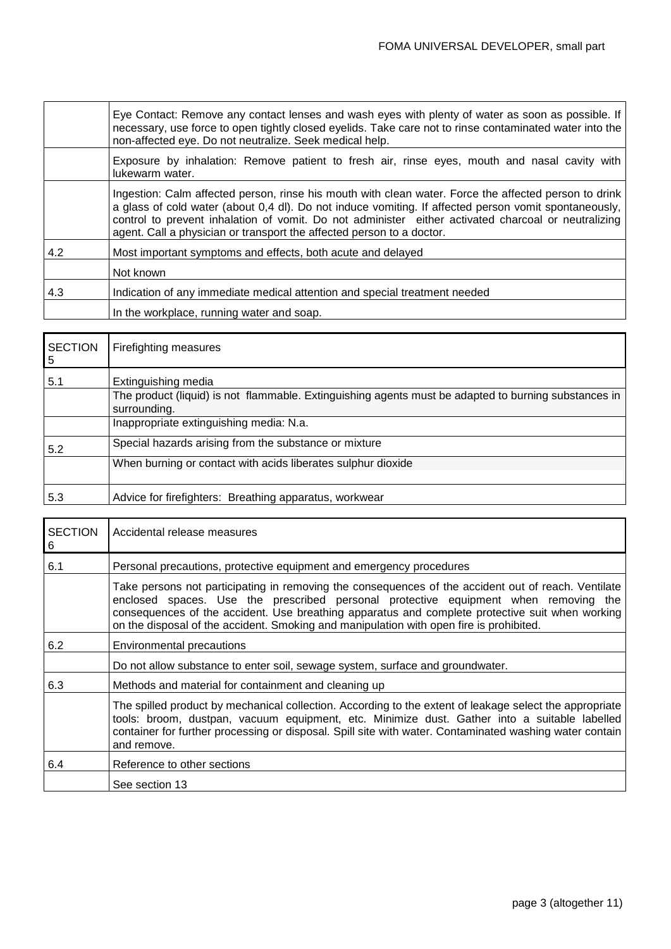|     | Eye Contact: Remove any contact lenses and wash eyes with plenty of water as soon as possible. If<br>necessary, use force to open tightly closed eyelids. Take care not to rinse contaminated water into the<br>non-affected eye. Do not neutralize. Seek medical help.                                                                                                                        |
|-----|------------------------------------------------------------------------------------------------------------------------------------------------------------------------------------------------------------------------------------------------------------------------------------------------------------------------------------------------------------------------------------------------|
|     | Exposure by inhalation: Remove patient to fresh air, rinse eyes, mouth and nasal cavity with<br>lukewarm water.                                                                                                                                                                                                                                                                                |
|     | Ingestion: Calm affected person, rinse his mouth with clean water. Force the affected person to drink<br>a glass of cold water (about 0,4 dl). Do not induce vomiting. If affected person vomit spontaneously,<br>control to prevent inhalation of vomit. Do not administer either activated charcoal or neutralizing<br>agent. Call a physician or transport the affected person to a doctor. |
| 4.2 | Most important symptoms and effects, both acute and delayed                                                                                                                                                                                                                                                                                                                                    |
|     | Not known                                                                                                                                                                                                                                                                                                                                                                                      |
| 4.3 | Indication of any immediate medical attention and special treatment needed                                                                                                                                                                                                                                                                                                                     |
|     | In the workplace, running water and soap.                                                                                                                                                                                                                                                                                                                                                      |

| <b>SECTION</b><br>5 | Firefighting measures                                                                                                                       |
|---------------------|---------------------------------------------------------------------------------------------------------------------------------------------|
| 5.1                 | Extinguishing media<br>The product (liquid) is not flammable. Extinguishing agents must be adapted to burning substances in<br>surrounding. |
|                     | Inappropriate extinguishing media: N.a.                                                                                                     |
| 5.2                 | Special hazards arising from the substance or mixture                                                                                       |
|                     | When burning or contact with acids liberates sulphur dioxide                                                                                |
| 5.3                 | Advice for firefighters: Breathing apparatus, workwear                                                                                      |

| <b>SECTION</b><br>6 | Accidental release measures                                                                                                                                                                                                                                                                                                                                                              |
|---------------------|------------------------------------------------------------------------------------------------------------------------------------------------------------------------------------------------------------------------------------------------------------------------------------------------------------------------------------------------------------------------------------------|
| 6.1                 | Personal precautions, protective equipment and emergency procedures                                                                                                                                                                                                                                                                                                                      |
|                     | Take persons not participating in removing the consequences of the accident out of reach. Ventilate<br>enclosed spaces. Use the prescribed personal protective equipment when removing the<br>consequences of the accident. Use breathing apparatus and complete protective suit when working<br>on the disposal of the accident. Smoking and manipulation with open fire is prohibited. |
| 6.2                 | Environmental precautions                                                                                                                                                                                                                                                                                                                                                                |
|                     | Do not allow substance to enter soil, sewage system, surface and groundwater.                                                                                                                                                                                                                                                                                                            |
| 6.3                 | Methods and material for containment and cleaning up                                                                                                                                                                                                                                                                                                                                     |
|                     | The spilled product by mechanical collection. According to the extent of leakage select the appropriate<br>tools: broom, dustpan, vacuum equipment, etc. Minimize dust. Gather into a suitable labelled<br>container for further processing or disposal. Spill site with water. Contaminated washing water contain<br>and remove.                                                        |
| 6.4                 | Reference to other sections                                                                                                                                                                                                                                                                                                                                                              |
|                     | See section 13                                                                                                                                                                                                                                                                                                                                                                           |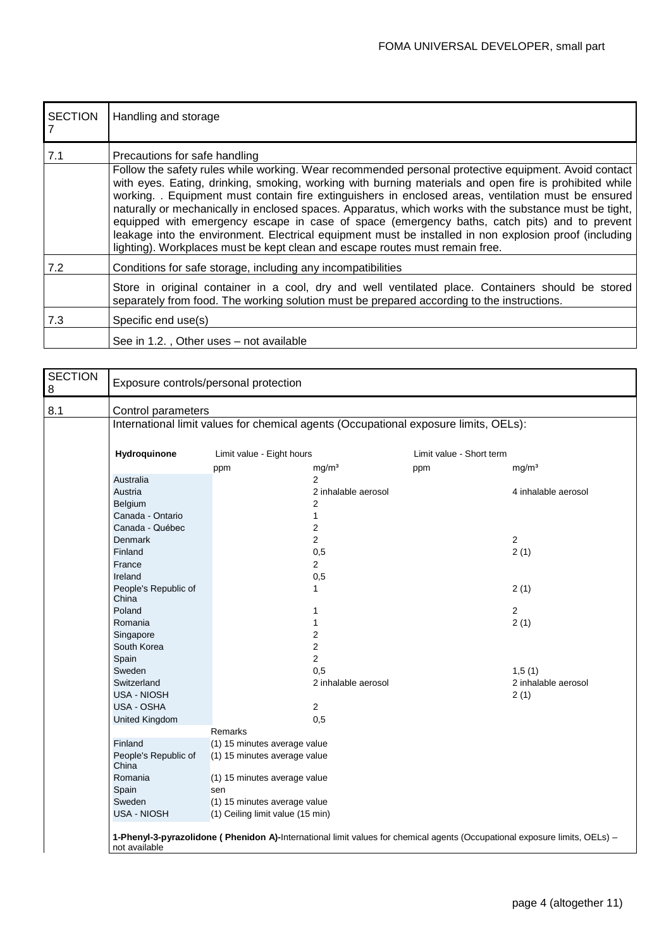| <b>SECTION</b> | Handling and storage                                                                                                                                                                                                                                                                                                                                                                                                                                                                                                                                                                                                                                                                                                                                       |
|----------------|------------------------------------------------------------------------------------------------------------------------------------------------------------------------------------------------------------------------------------------------------------------------------------------------------------------------------------------------------------------------------------------------------------------------------------------------------------------------------------------------------------------------------------------------------------------------------------------------------------------------------------------------------------------------------------------------------------------------------------------------------------|
| 7.1            | Precautions for safe handling<br>Follow the safety rules while working. Wear recommended personal protective equipment. Avoid contact<br>with eyes. Eating, drinking, smoking, working with burning materials and open fire is prohibited while<br>working. . Equipment must contain fire extinguishers in enclosed areas, ventilation must be ensured<br>naturally or mechanically in enclosed spaces. Apparatus, which works with the substance must be tight,<br>equipped with emergency escape in case of space (emergency baths, catch pits) and to prevent<br>leakage into the environment. Electrical equipment must be installed in non explosion proof (including<br>lighting). Workplaces must be kept clean and escape routes must remain free. |
| 7.2            | Conditions for safe storage, including any incompatibilities                                                                                                                                                                                                                                                                                                                                                                                                                                                                                                                                                                                                                                                                                               |
|                | Store in original container in a cool, dry and well ventilated place. Containers should be stored<br>separately from food. The working solution must be prepared according to the instructions.                                                                                                                                                                                                                                                                                                                                                                                                                                                                                                                                                            |
| 7.3            | Specific end use(s)                                                                                                                                                                                                                                                                                                                                                                                                                                                                                                                                                                                                                                                                                                                                        |
|                | See in 1.2., Other uses - not available                                                                                                                                                                                                                                                                                                                                                                                                                                                                                                                                                                                                                                                                                                                    |

| Control parameters<br>Hydroquinone<br>Australia<br>Austria<br>Belgium<br>Canada - Ontario<br>Canada - Québec<br><b>Denmark</b><br>Finland<br>France<br>Ireland<br>People's Republic of<br>China<br>Poland<br>Romania<br>Singapore | International limit values for chemical agents (Occupational exposure limits, OELs):<br>Limit value - Eight hours<br>mg/m <sup>3</sup><br>ppm<br>$\overline{2}$<br>$\overline{2}$<br>$\mathbf{1}$<br>$\overline{2}$<br>$\overline{2}$<br>0,5<br>$\mathbf{2}$<br>0,5<br>1<br>1<br>1 | ppm<br>2 inhalable aerosol                                                                                                                                                                | Limit value - Short term | mg/m <sup>3</sup><br>4 inhalable aerosol<br>2<br>2(1)<br>2(1)                                                                               |
|-----------------------------------------------------------------------------------------------------------------------------------------------------------------------------------------------------------------------------------|------------------------------------------------------------------------------------------------------------------------------------------------------------------------------------------------------------------------------------------------------------------------------------|-------------------------------------------------------------------------------------------------------------------------------------------------------------------------------------------|--------------------------|---------------------------------------------------------------------------------------------------------------------------------------------|
|                                                                                                                                                                                                                                   |                                                                                                                                                                                                                                                                                    |                                                                                                                                                                                           |                          |                                                                                                                                             |
|                                                                                                                                                                                                                                   |                                                                                                                                                                                                                                                                                    |                                                                                                                                                                                           |                          |                                                                                                                                             |
|                                                                                                                                                                                                                                   |                                                                                                                                                                                                                                                                                    |                                                                                                                                                                                           |                          |                                                                                                                                             |
|                                                                                                                                                                                                                                   |                                                                                                                                                                                                                                                                                    |                                                                                                                                                                                           |                          |                                                                                                                                             |
|                                                                                                                                                                                                                                   |                                                                                                                                                                                                                                                                                    |                                                                                                                                                                                           |                          |                                                                                                                                             |
|                                                                                                                                                                                                                                   |                                                                                                                                                                                                                                                                                    |                                                                                                                                                                                           |                          |                                                                                                                                             |
|                                                                                                                                                                                                                                   |                                                                                                                                                                                                                                                                                    |                                                                                                                                                                                           |                          |                                                                                                                                             |
|                                                                                                                                                                                                                                   |                                                                                                                                                                                                                                                                                    |                                                                                                                                                                                           |                          |                                                                                                                                             |
|                                                                                                                                                                                                                                   |                                                                                                                                                                                                                                                                                    |                                                                                                                                                                                           |                          |                                                                                                                                             |
|                                                                                                                                                                                                                                   |                                                                                                                                                                                                                                                                                    |                                                                                                                                                                                           |                          |                                                                                                                                             |
|                                                                                                                                                                                                                                   |                                                                                                                                                                                                                                                                                    |                                                                                                                                                                                           |                          |                                                                                                                                             |
|                                                                                                                                                                                                                                   |                                                                                                                                                                                                                                                                                    |                                                                                                                                                                                           |                          |                                                                                                                                             |
|                                                                                                                                                                                                                                   |                                                                                                                                                                                                                                                                                    |                                                                                                                                                                                           |                          |                                                                                                                                             |
|                                                                                                                                                                                                                                   |                                                                                                                                                                                                                                                                                    |                                                                                                                                                                                           |                          |                                                                                                                                             |
|                                                                                                                                                                                                                                   |                                                                                                                                                                                                                                                                                    |                                                                                                                                                                                           |                          |                                                                                                                                             |
|                                                                                                                                                                                                                                   |                                                                                                                                                                                                                                                                                    |                                                                                                                                                                                           |                          | $\mathbf{2}$                                                                                                                                |
|                                                                                                                                                                                                                                   |                                                                                                                                                                                                                                                                                    |                                                                                                                                                                                           |                          | 2(1)                                                                                                                                        |
|                                                                                                                                                                                                                                   | $\overline{2}$                                                                                                                                                                                                                                                                     |                                                                                                                                                                                           |                          |                                                                                                                                             |
| South Korea                                                                                                                                                                                                                       | $\overline{2}$                                                                                                                                                                                                                                                                     |                                                                                                                                                                                           |                          |                                                                                                                                             |
| Spain                                                                                                                                                                                                                             | $\overline{2}$                                                                                                                                                                                                                                                                     |                                                                                                                                                                                           |                          |                                                                                                                                             |
| Sweden                                                                                                                                                                                                                            | 0,5                                                                                                                                                                                                                                                                                |                                                                                                                                                                                           |                          | 1,5(1)                                                                                                                                      |
| Switzerland                                                                                                                                                                                                                       |                                                                                                                                                                                                                                                                                    |                                                                                                                                                                                           |                          | 2 inhalable aerosol                                                                                                                         |
| <b>USA - NIOSH</b>                                                                                                                                                                                                                |                                                                                                                                                                                                                                                                                    |                                                                                                                                                                                           |                          | 2(1)                                                                                                                                        |
| <b>USA - OSHA</b>                                                                                                                                                                                                                 | $\mathbf{2}$                                                                                                                                                                                                                                                                       |                                                                                                                                                                                           |                          |                                                                                                                                             |
|                                                                                                                                                                                                                                   |                                                                                                                                                                                                                                                                                    |                                                                                                                                                                                           |                          |                                                                                                                                             |
|                                                                                                                                                                                                                                   |                                                                                                                                                                                                                                                                                    |                                                                                                                                                                                           |                          |                                                                                                                                             |
| Finland                                                                                                                                                                                                                           |                                                                                                                                                                                                                                                                                    |                                                                                                                                                                                           |                          |                                                                                                                                             |
| People's Republic of<br>China                                                                                                                                                                                                     |                                                                                                                                                                                                                                                                                    |                                                                                                                                                                                           |                          |                                                                                                                                             |
| Romania                                                                                                                                                                                                                           |                                                                                                                                                                                                                                                                                    |                                                                                                                                                                                           |                          |                                                                                                                                             |
| Spain                                                                                                                                                                                                                             |                                                                                                                                                                                                                                                                                    |                                                                                                                                                                                           |                          |                                                                                                                                             |
| Sweden                                                                                                                                                                                                                            |                                                                                                                                                                                                                                                                                    |                                                                                                                                                                                           |                          |                                                                                                                                             |
|                                                                                                                                                                                                                                   |                                                                                                                                                                                                                                                                                    |                                                                                                                                                                                           |                          |                                                                                                                                             |
|                                                                                                                                                                                                                                   | United Kingdom<br><b>USA - NIOSH</b>                                                                                                                                                                                                                                               | 0,5<br>Remarks<br>(1) 15 minutes average value<br>(1) 15 minutes average value<br>(1) 15 minutes average value<br>sen<br>(1) 15 minutes average value<br>(1) Ceiling limit value (15 min) | 2 inhalable aerosol      | 1-Phenyl-3-pyrazolidone (Phenidon A)-International limit values for chemical agents (Occupational exposure limits, OELs) -<br>not available |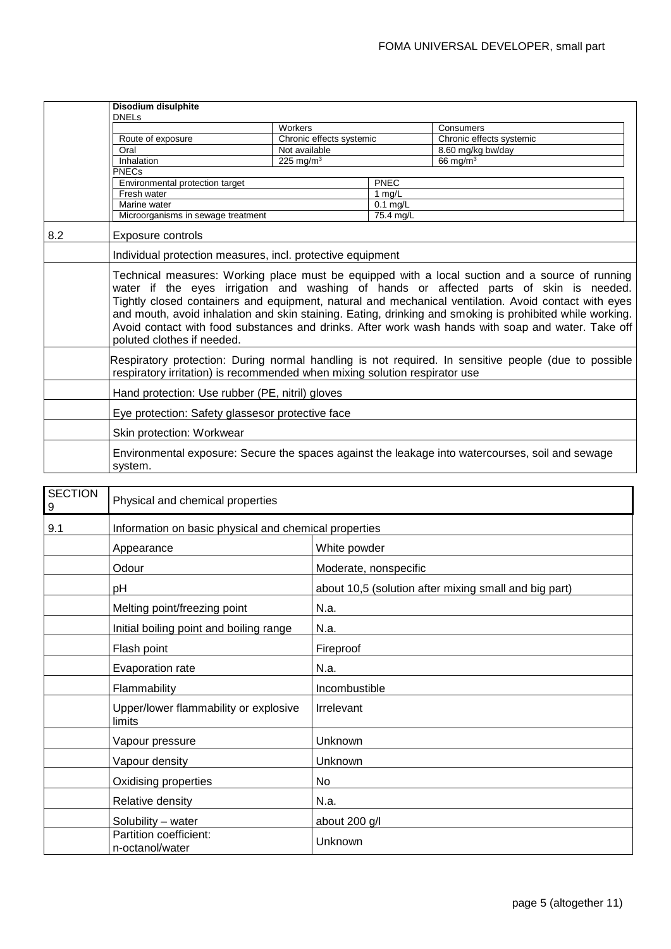|     | Disodium disulphite                                                                                                                                                                                                                                                                                                                                                                                                                                                                                                                               |                          |            |                          |
|-----|---------------------------------------------------------------------------------------------------------------------------------------------------------------------------------------------------------------------------------------------------------------------------------------------------------------------------------------------------------------------------------------------------------------------------------------------------------------------------------------------------------------------------------------------------|--------------------------|------------|--------------------------|
|     | <b>DNELs</b>                                                                                                                                                                                                                                                                                                                                                                                                                                                                                                                                      |                          |            |                          |
|     |                                                                                                                                                                                                                                                                                                                                                                                                                                                                                                                                                   | Workers                  |            | Consumers                |
|     | Route of exposure                                                                                                                                                                                                                                                                                                                                                                                                                                                                                                                                 | Chronic effects systemic |            | Chronic effects systemic |
|     | Oral                                                                                                                                                                                                                                                                                                                                                                                                                                                                                                                                              | Not available            |            | 8.60 mg/kg bw/day        |
|     | Inhalation                                                                                                                                                                                                                                                                                                                                                                                                                                                                                                                                        | 225 mg/m <sup>3</sup>    |            | 66 mg/ $m3$              |
|     | <b>PNECs</b>                                                                                                                                                                                                                                                                                                                                                                                                                                                                                                                                      |                          |            |                          |
|     | Environmental protection target                                                                                                                                                                                                                                                                                                                                                                                                                                                                                                                   |                          | PNEC       |                          |
|     | Fresh water                                                                                                                                                                                                                                                                                                                                                                                                                                                                                                                                       |                          | 1 $mq/L$   |                          |
|     | Marine water                                                                                                                                                                                                                                                                                                                                                                                                                                                                                                                                      |                          | $0.1$ mg/L |                          |
|     | Microorganisms in sewage treatment                                                                                                                                                                                                                                                                                                                                                                                                                                                                                                                |                          | 75.4 mg/L  |                          |
| 8.2 | <b>Exposure controls</b>                                                                                                                                                                                                                                                                                                                                                                                                                                                                                                                          |                          |            |                          |
|     | Individual protection measures, incl. protective equipment                                                                                                                                                                                                                                                                                                                                                                                                                                                                                        |                          |            |                          |
|     | Technical measures: Working place must be equipped with a local suction and a source of running<br>water if the eyes irrigation and washing of hands or affected parts of skin is needed.<br>Tightly closed containers and equipment, natural and mechanical ventilation. Avoid contact with eyes<br>and mouth, avoid inhalation and skin staining. Eating, drinking and smoking is prohibited while working.<br>Avoid contact with food substances and drinks. After work wash hands with soap and water. Take off<br>poluted clothes if needed. |                          |            |                          |
|     | Respiratory protection: During normal handling is not required. In sensitive people (due to possible<br>respiratory irritation) is recommended when mixing solution respirator use                                                                                                                                                                                                                                                                                                                                                                |                          |            |                          |
|     | Hand protection: Use rubber (PE, nitril) gloves                                                                                                                                                                                                                                                                                                                                                                                                                                                                                                   |                          |            |                          |
|     | Eye protection: Safety glassesor protective face                                                                                                                                                                                                                                                                                                                                                                                                                                                                                                  |                          |            |                          |
|     | Skin protection: Workwear                                                                                                                                                                                                                                                                                                                                                                                                                                                                                                                         |                          |            |                          |
|     | Environmental exposure: Secure the spaces against the leakage into watercourses, soil and sewage<br>system.                                                                                                                                                                                                                                                                                                                                                                                                                                       |                          |            |                          |

| <b>SECTION</b><br>9 | Physical and chemical properties                      |                                                       |  |
|---------------------|-------------------------------------------------------|-------------------------------------------------------|--|
| 9.1                 | Information on basic physical and chemical properties |                                                       |  |
|                     | Appearance                                            | White powder                                          |  |
|                     | Odour                                                 | Moderate, nonspecific                                 |  |
|                     | pH                                                    | about 10,5 (solution after mixing small and big part) |  |
|                     | Melting point/freezing point                          | N.a.                                                  |  |
|                     | Initial boiling point and boiling range               | N.a.                                                  |  |
|                     | Flash point                                           | Fireproof                                             |  |
|                     | Evaporation rate                                      | N.a.                                                  |  |
|                     | Flammability                                          | Incombustible                                         |  |
|                     | Upper/lower flammability or explosive<br>limits       | Irrelevant                                            |  |
|                     | Vapour pressure                                       | Unknown                                               |  |
|                     | Vapour density                                        | Unknown                                               |  |
|                     | Oxidising properties                                  | No.                                                   |  |
|                     | Relative density                                      | N.a.                                                  |  |
|                     | Solubility - water                                    | about 200 g/l                                         |  |
|                     | Partition coefficient:<br>n-octanol/water             | Unknown                                               |  |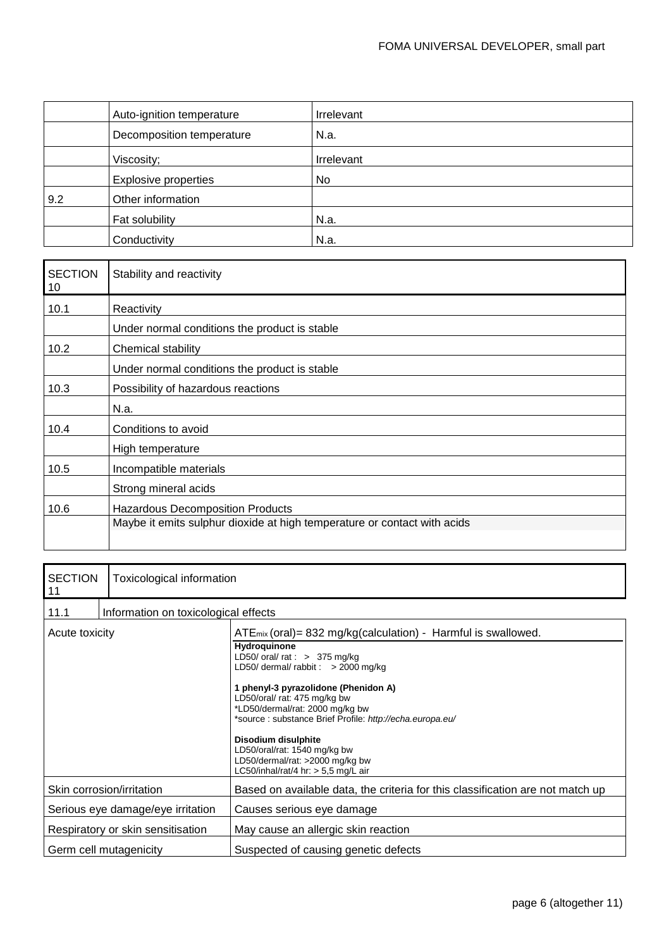|     | Auto-ignition temperature   | <b>Irrelevant</b> |
|-----|-----------------------------|-------------------|
|     | Decomposition temperature   | N.a.              |
|     | Viscosity;                  | Irrelevant        |
|     | <b>Explosive properties</b> | No.               |
| 9.2 | Other information           |                   |
|     | Fat solubility              | N.a.              |
|     | Conductivity                | N.a.              |

| <b>SECTION</b><br>10 | Stability and reactivity                                                 |
|----------------------|--------------------------------------------------------------------------|
| 10.1                 | Reactivity                                                               |
|                      | Under normal conditions the product is stable                            |
| 10.2                 | Chemical stability                                                       |
|                      | Under normal conditions the product is stable                            |
| 10.3                 | Possibility of hazardous reactions                                       |
|                      | N.a.                                                                     |
| 10.4                 | Conditions to avoid                                                      |
|                      | High temperature                                                         |
| 10.5                 | Incompatible materials                                                   |
|                      | Strong mineral acids                                                     |
| 10.6                 | <b>Hazardous Decomposition Products</b>                                  |
|                      | Maybe it emits sulphur dioxide at high temperature or contact with acids |
|                      |                                                                          |

| <b>SECTION</b><br>11              | Toxicological information            |                                                                                                                                                                                                                                                                                                                                                                                                                                                                         |
|-----------------------------------|--------------------------------------|-------------------------------------------------------------------------------------------------------------------------------------------------------------------------------------------------------------------------------------------------------------------------------------------------------------------------------------------------------------------------------------------------------------------------------------------------------------------------|
| 11.1                              | Information on toxicological effects |                                                                                                                                                                                                                                                                                                                                                                                                                                                                         |
| Acute toxicity                    |                                      | $ATE_{mix}$ (oral) = 832 mg/kg(calculation) - Harmful is swallowed.<br>Hydroquinone<br>LD50/ oral/ rat : $> 375$ mg/kg<br>LD50/ dermal/ rabbit : $>$ 2000 mg/kg<br>1 phenyl-3 pyrazolidone (Phenidon A)<br>LD50/oral/ rat: 475 mg/kg bw<br>*LD50/dermal/rat: 2000 mg/kg bw<br>*source: substance Brief Profile: http://echa.europa.eu/<br>Disodium disulphite<br>LD50/oral/rat: 1540 mg/kg bw<br>LD50/dermal/rat: >2000 mg/kg bw<br>LC50/inhal/rat/4 hr: > 5,5 mg/L air |
| Skin corrosion/irritation         |                                      | Based on available data, the criteria for this classification are not match up                                                                                                                                                                                                                                                                                                                                                                                          |
| Serious eye damage/eye irritation |                                      | Causes serious eye damage                                                                                                                                                                                                                                                                                                                                                                                                                                               |
| Respiratory or skin sensitisation |                                      | May cause an allergic skin reaction                                                                                                                                                                                                                                                                                                                                                                                                                                     |
| Germ cell mutagenicity            |                                      | Suspected of causing genetic defects                                                                                                                                                                                                                                                                                                                                                                                                                                    |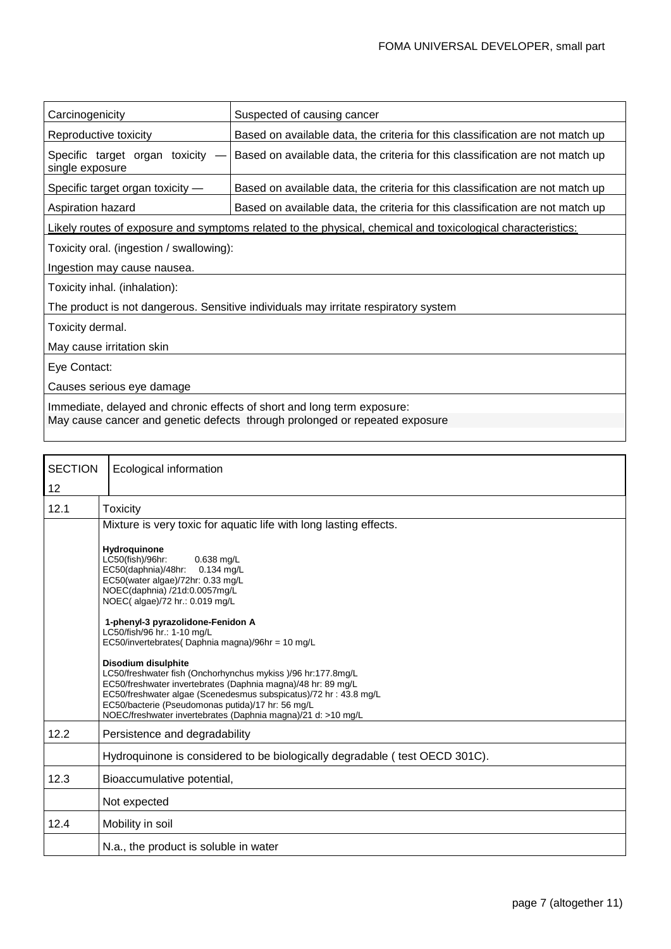| Carcinogenicity                                                                     | Suspected of causing cancer                                                                                 |  |
|-------------------------------------------------------------------------------------|-------------------------------------------------------------------------------------------------------------|--|
| Reproductive toxicity                                                               | Based on available data, the criteria for this classification are not match up                              |  |
| Specific target organ toxicity<br>single exposure                                   | Based on available data, the criteria for this classification are not match up                              |  |
| Specific target organ toxicity -                                                    | Based on available data, the criteria for this classification are not match up                              |  |
| Aspiration hazard                                                                   | Based on available data, the criteria for this classification are not match up                              |  |
|                                                                                     | Likely routes of exposure and symptoms related to the physical, chemical and toxicological characteristics: |  |
| Toxicity oral. (ingestion / swallowing):                                            |                                                                                                             |  |
| Ingestion may cause nausea.                                                         |                                                                                                             |  |
| Toxicity inhal. (inhalation):                                                       |                                                                                                             |  |
| The product is not dangerous. Sensitive individuals may irritate respiratory system |                                                                                                             |  |
| Toxicity dermal.                                                                    |                                                                                                             |  |
| May cause irritation skin                                                           |                                                                                                             |  |
| Eye Contact:                                                                        |                                                                                                             |  |
| Causes serious eye damage                                                           |                                                                                                             |  |
| Immediate, delayed and chronic effects of short and long term exposure:             |                                                                                                             |  |
| May cause cancer and genetic defects through prolonged or repeated exposure         |                                                                                                             |  |

| <b>SECTION</b> | Ecological information                                                                                                                                                                                                                                                                                                                              |  |
|----------------|-----------------------------------------------------------------------------------------------------------------------------------------------------------------------------------------------------------------------------------------------------------------------------------------------------------------------------------------------------|--|
| 12             |                                                                                                                                                                                                                                                                                                                                                     |  |
| 12.1           | <b>Toxicity</b>                                                                                                                                                                                                                                                                                                                                     |  |
|                | Mixture is very toxic for aquatic life with long lasting effects.                                                                                                                                                                                                                                                                                   |  |
|                | Hydroquinone<br>LC50(fish)/96hr:<br>$0.638$ mg/L<br>EC50(daphnia)/48hr:<br>$0.134$ mg/L<br>EC50(water algae)/72hr: 0.33 mg/L<br>NOEC(daphnia) /21d:0.0057mg/L<br>NOEC(algae)/72 hr.: 0.019 mg/L<br>1-phenyl-3 pyrazolidone-Fenidon A                                                                                                                |  |
|                | LC50/fish/96 hr.: 1-10 mg/L<br>EC50/invertebrates(Daphnia magna)/96hr = 10 mg/L                                                                                                                                                                                                                                                                     |  |
|                | <b>Disodium disulphite</b><br>LC50/freshwater fish (Onchorhynchus mykiss )/96 hr:177.8mg/L<br>EC50/freshwater invertebrates (Daphnia magna)/48 hr: 89 mg/L<br>EC50/freshwater algae (Scenedesmus subspicatus)/72 hr: 43.8 mg/L<br>EC50/bacterie (Pseudomonas putida)/17 hr: 56 mg/L<br>NOEC/freshwater invertebrates (Daphnia magna)/21 d: >10 mg/L |  |
| 12.2           | Persistence and degradability                                                                                                                                                                                                                                                                                                                       |  |
|                | Hydroquinone is considered to be biologically degradable (test OECD 301C).                                                                                                                                                                                                                                                                          |  |
| 12.3           | Bioaccumulative potential,                                                                                                                                                                                                                                                                                                                          |  |
|                | Not expected                                                                                                                                                                                                                                                                                                                                        |  |
| 12.4           | Mobility in soil                                                                                                                                                                                                                                                                                                                                    |  |
|                | N.a., the product is soluble in water                                                                                                                                                                                                                                                                                                               |  |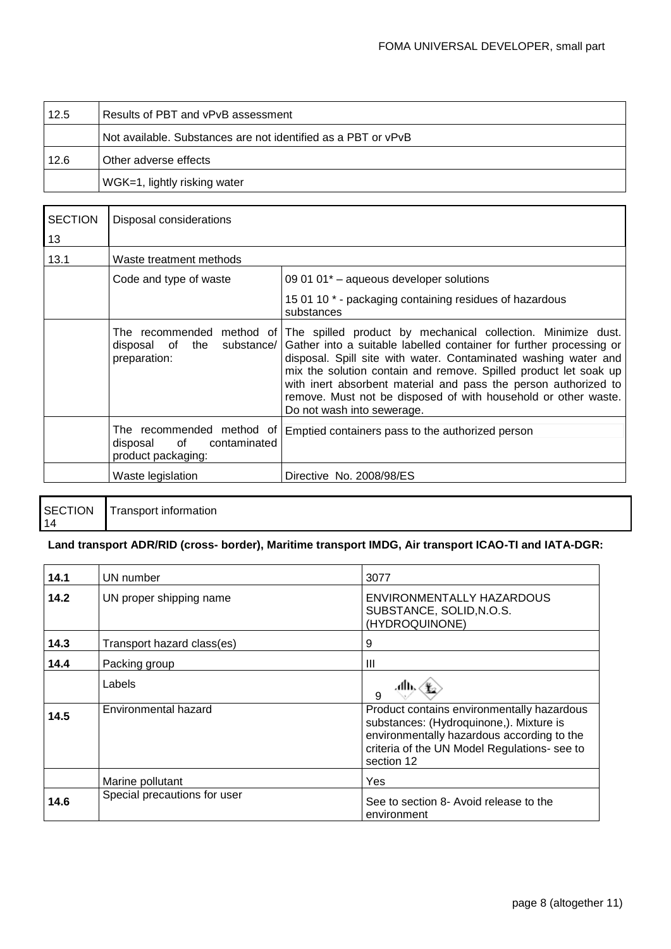| 12.5 | Results of PBT and vPvB assessment                            |
|------|---------------------------------------------------------------|
|      | Not available. Substances are not identified as a PBT or vPvB |
| 12.6 | Other adverse effects                                         |
|      | WGK=1, lightly risking water                                  |

| <b>SECTION</b><br>13 | Disposal considerations                                                           |                                                                                                                                                                                                                                                                                                                                                                                                                                                                         |  |
|----------------------|-----------------------------------------------------------------------------------|-------------------------------------------------------------------------------------------------------------------------------------------------------------------------------------------------------------------------------------------------------------------------------------------------------------------------------------------------------------------------------------------------------------------------------------------------------------------------|--|
| 13.1                 | Waste treatment methods                                                           |                                                                                                                                                                                                                                                                                                                                                                                                                                                                         |  |
|                      | Code and type of waste                                                            | 09 01 01 <sup>*</sup> - aqueous developer solutions                                                                                                                                                                                                                                                                                                                                                                                                                     |  |
|                      |                                                                                   | 15 01 10 * - packaging containing residues of hazardous<br>substances                                                                                                                                                                                                                                                                                                                                                                                                   |  |
|                      | disposal of<br>the<br>substance/<br>preparation:                                  | The recommended method of The spilled product by mechanical collection. Minimize dust.<br>Gather into a suitable labelled container for further processing or<br>disposal. Spill site with water. Contaminated washing water and<br>mix the solution contain and remove. Spilled product let soak up<br>with inert absorbent material and pass the person authorized to<br>remove. Must not be disposed of with household or other waste.<br>Do not wash into sewerage. |  |
|                      | The recommended method of<br>contaminated<br>of<br>disposal<br>product packaging: | Emptied containers pass to the authorized person                                                                                                                                                                                                                                                                                                                                                                                                                        |  |
|                      | Waste legislation                                                                 | Directive No. 2008/98/ES                                                                                                                                                                                                                                                                                                                                                                                                                                                |  |

|    | SECTION Transport information |
|----|-------------------------------|
| 14 |                               |

## **Land transport ADR/RID (cross- border), Maritime transport IMDG, Air transport ICAO-TI and IATA-DGR:**

| 14.1                            | UN number                    | 3077                                                                                                                                                                                              |
|---------------------------------|------------------------------|---------------------------------------------------------------------------------------------------------------------------------------------------------------------------------------------------|
| 14.2<br>UN proper shipping name |                              | ENVIRONMENTALLY HAZARDOUS<br>SUBSTANCE, SOLID, N.O.S.<br>(HYDROQUINONE)                                                                                                                           |
| 14.3                            | Transport hazard class(es)   | 9                                                                                                                                                                                                 |
| 14.4                            | Packing group                | Ш                                                                                                                                                                                                 |
|                                 | Labels                       | 9                                                                                                                                                                                                 |
| 14.5                            | Environmental hazard         | Product contains environmentally hazardous<br>substances: (Hydroquinone,). Mixture is<br>environmentally hazardous according to the<br>criteria of the UN Model Regulations- see to<br>section 12 |
|                                 | Marine pollutant             | Yes                                                                                                                                                                                               |
| 14.6                            | Special precautions for user | See to section 8- Avoid release to the<br>environment                                                                                                                                             |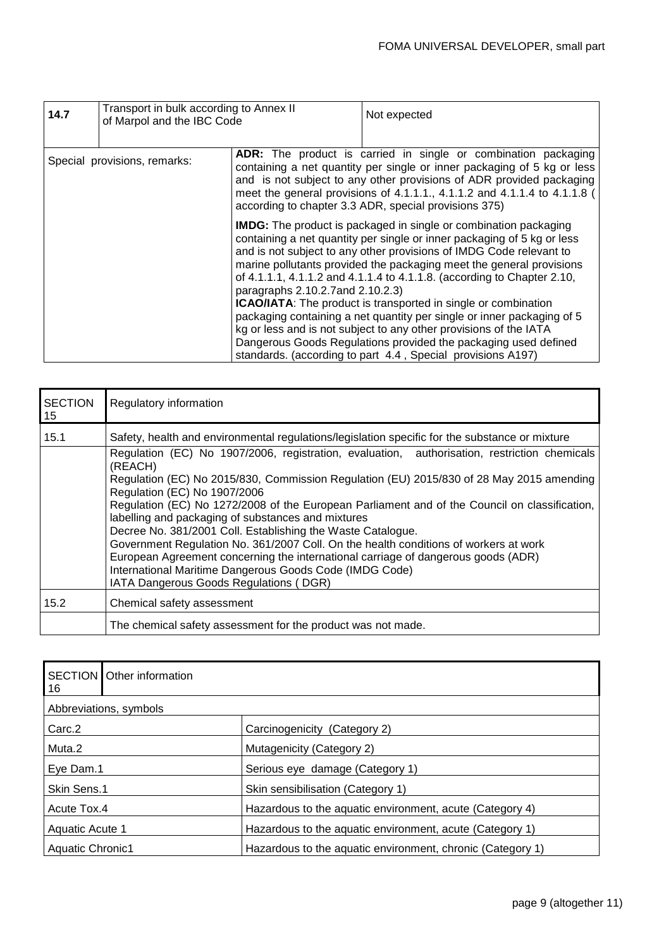| 14.7                         | Transport in bulk according to Annex II<br>of Marpol and the IBC Code |                                                                                                                                                                                                                                                                                                                                                         | Not expected                                                                                                                                                                                                                                                                                                                                                                                                                                                                                                                                                                                                                                                                                                                           |
|------------------------------|-----------------------------------------------------------------------|---------------------------------------------------------------------------------------------------------------------------------------------------------------------------------------------------------------------------------------------------------------------------------------------------------------------------------------------------------|----------------------------------------------------------------------------------------------------------------------------------------------------------------------------------------------------------------------------------------------------------------------------------------------------------------------------------------------------------------------------------------------------------------------------------------------------------------------------------------------------------------------------------------------------------------------------------------------------------------------------------------------------------------------------------------------------------------------------------------|
| Special provisions, remarks: |                                                                       | ADR: The product is carried in single or combination packaging<br>containing a net quantity per single or inner packaging of 5 kg or less<br>and is not subject to any other provisions of ADR provided packaging<br>meet the general provisions of 4.1.1.1., 4.1.1.2 and 4.1.1.4 to 4.1.1.8 (<br>according to chapter 3.3 ADR, special provisions 375) |                                                                                                                                                                                                                                                                                                                                                                                                                                                                                                                                                                                                                                                                                                                                        |
|                              |                                                                       | paragraphs 2.10.2.7 and 2.10.2.3)                                                                                                                                                                                                                                                                                                                       | <b>IMDG:</b> The product is packaged in single or combination packaging<br>containing a net quantity per single or inner packaging of 5 kg or less<br>and is not subject to any other provisions of IMDG Code relevant to<br>marine pollutants provided the packaging meet the general provisions<br>of 4.1.1.1, 4.1.1.2 and 4.1.1.4 to 4.1.1.8. (according to Chapter 2.10,<br><b>ICAO/IATA:</b> The product is transported in single or combination<br>packaging containing a net quantity per single or inner packaging of 5<br>kg or less and is not subject to any other provisions of the IATA<br>Dangerous Goods Regulations provided the packaging used defined<br>standards. (according to part 4.4, Special provisions A197) |

| <b>SECTION</b><br>15                                        | Regulatory information                                                                                                                                                    |  |
|-------------------------------------------------------------|---------------------------------------------------------------------------------------------------------------------------------------------------------------------------|--|
| 15.1                                                        | Safety, health and environmental regulations/legislation specific for the substance or mixture                                                                            |  |
|                                                             | Regulation (EC) No 1907/2006, registration, evaluation, authorisation, restriction chemicals<br>(REACH)                                                                   |  |
|                                                             | Regulation (EC) No 2015/830, Commission Regulation (EU) 2015/830 of 28 May 2015 amending<br>Regulation (EC) No 1907/2006                                                  |  |
|                                                             | Regulation (EC) No 1272/2008 of the European Parliament and of the Council on classification,<br>labelling and packaging of substances and mixtures                       |  |
| Decree No. 381/2001 Coll. Establishing the Waste Catalogue. |                                                                                                                                                                           |  |
|                                                             | Government Regulation No. 361/2007 Coll. On the health conditions of workers at work<br>European Agreement concerning the international carriage of dangerous goods (ADR) |  |
|                                                             | International Maritime Dangerous Goods Code (IMDG Code)<br>IATA Dangerous Goods Regulations (DGR)                                                                         |  |
| 15.2                                                        | Chemical safety assessment                                                                                                                                                |  |
|                                                             | The chemical safety assessment for the product was not made.                                                                                                              |  |

| <b>SECTION Other information</b><br>16 |                                                            |  |  |  |
|----------------------------------------|------------------------------------------------------------|--|--|--|
| Abbreviations, symbols                 |                                                            |  |  |  |
| Carc <sub>.2</sub>                     | Carcinogenicity (Category 2)                               |  |  |  |
| Muta.2                                 | Mutagenicity (Category 2)                                  |  |  |  |
| Eye Dam.1                              | Serious eye damage (Category 1)                            |  |  |  |
| Skin Sens.1                            | Skin sensibilisation (Category 1)                          |  |  |  |
| Acute Tox.4                            | Hazardous to the aquatic environment, acute (Category 4)   |  |  |  |
| Aquatic Acute 1                        | Hazardous to the aquatic environment, acute (Category 1)   |  |  |  |
| <b>Aquatic Chronic1</b>                | Hazardous to the aquatic environment, chronic (Category 1) |  |  |  |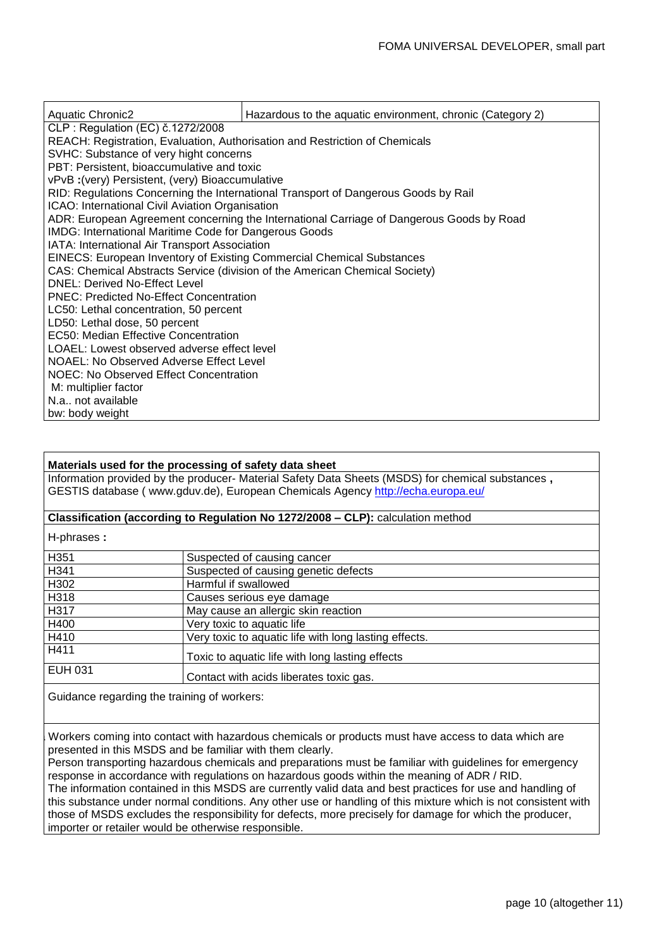| <b>Aquatic Chronic2</b>                                                                  | Hazardous to the aquatic environment, chronic (Category 2) |  |  |  |  |  |
|------------------------------------------------------------------------------------------|------------------------------------------------------------|--|--|--|--|--|
| CLP: Regulation (EC) č.1272/2008                                                         |                                                            |  |  |  |  |  |
| REACH: Registration, Evaluation, Authorisation and Restriction of Chemicals              |                                                            |  |  |  |  |  |
| SVHC: Substance of very hight concerns                                                   |                                                            |  |  |  |  |  |
| PBT: Persistent, bioaccumulative and toxic                                               |                                                            |  |  |  |  |  |
| vPvB: (very) Persistent, (very) Bioaccumulative                                          |                                                            |  |  |  |  |  |
| RID: Regulations Concerning the International Transport of Dangerous Goods by Rail       |                                                            |  |  |  |  |  |
| ICAO: International Civil Aviation Organisation                                          |                                                            |  |  |  |  |  |
| ADR: European Agreement concerning the International Carriage of Dangerous Goods by Road |                                                            |  |  |  |  |  |
| <b>IMDG: International Maritime Code for Dangerous Goods</b>                             |                                                            |  |  |  |  |  |
| IATA: International Air Transport Association                                            |                                                            |  |  |  |  |  |
| <b>EINECS: European Inventory of Existing Commercial Chemical Substances</b>             |                                                            |  |  |  |  |  |
| CAS: Chemical Abstracts Service (division of the American Chemical Society)              |                                                            |  |  |  |  |  |
| <b>DNEL: Derived No-Effect Level</b>                                                     |                                                            |  |  |  |  |  |
| <b>PNEC: Predicted No-Effect Concentration</b>                                           |                                                            |  |  |  |  |  |
| LC50: Lethal concentration, 50 percent                                                   |                                                            |  |  |  |  |  |
| LD50: Lethal dose, 50 percent                                                            |                                                            |  |  |  |  |  |
| EC50: Median Effective Concentration                                                     |                                                            |  |  |  |  |  |
| LOAEL: Lowest observed adverse effect level                                              |                                                            |  |  |  |  |  |
| <b>NOAEL: No Observed Adverse Effect Level</b>                                           |                                                            |  |  |  |  |  |
| NOEC: No Observed Effect Concentration                                                   |                                                            |  |  |  |  |  |
| M: multiplier factor                                                                     |                                                            |  |  |  |  |  |
| N.a., not available                                                                      |                                                            |  |  |  |  |  |
| bw: body weight                                                                          |                                                            |  |  |  |  |  |

#### **Materials used for the processing of safety data sheet**

Information provided by the producer- Material Safety Data Sheets (MSDS) for chemical substances **,**  GESTIS database ( [www.gduv.de\)](http://www.gduv.de/), European Chemicals Agency <http://echa.europa.eu/>

#### **Classification (according to Regulation No 1272/2008 – CLP):** calculation method

H-phrases **:**

| H351    | Suspected of causing cancer                           |
|---------|-------------------------------------------------------|
| H341    | Suspected of causing genetic defects                  |
| H302    | Harmful if swallowed                                  |
| H318    | Causes serious eye damage                             |
| H317    | May cause an allergic skin reaction                   |
| H400    | Very toxic to aquatic life                            |
| H410    | Very toxic to aquatic life with long lasting effects. |
| H411    | Toxic to aquatic life with long lasting effects       |
| EUH 031 | Contact with acids liberates toxic gas.               |

Guidance regarding the training of workers:

Workers coming into contact with hazardous chemicals or products must have access to data which are presented in this MSDS and be familiar with them clearly.

Person transporting hazardous chemicals and preparations must be familiar with guidelines for emergency response in accordance with regulations on hazardous goods within the meaning of ADR / RID. The information contained in this MSDS are currently valid data and best practices for use and handling of this substance under normal conditions. Any other use or handling of this mixture which is not consistent with those of MSDS excludes the responsibility for defects, more precisely for damage for which the producer, importer or retailer would be otherwise responsible.